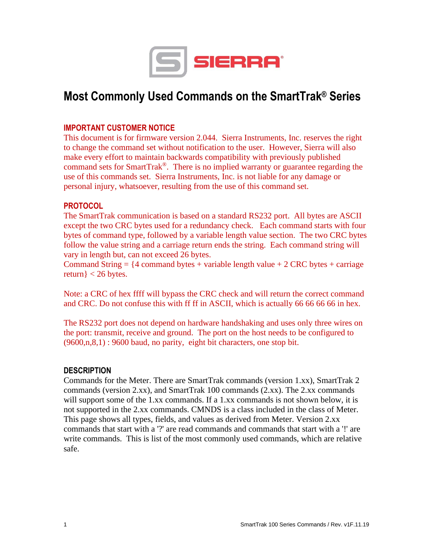

# **Most Commonly Used Commands on the SmartTrak ® Series**

# **IMPORTANT CUSTOMER NOTICE**

This document is for firmware version 2.044. Sierra Instruments, Inc. reserves the right to change the command set without notification to the user. However, Sierra will also make every effort to maintain backwards compatibility with previously published command sets for SmartTrak®. There is no implied warranty or guarantee regarding the use of this commands set. Sierra Instruments, Inc. is not liable for any damage or personal injury, whatsoever, resulting from the use of this command set.

# **PROTOCOL**

The SmartTrak communication is based on a standard RS232 port. All bytes are ASCII except the two CRC bytes used for a redundancy check. Each command starts with four bytes of command type, followed by a variable length value section. The two CRC bytes follow the value string and a carriage return ends the string. Each command string will vary in length but, can not exceed 26 bytes.

Command String  $=$  {4 command bytes + variable length value + 2 CRC bytes + carriage return $\}$  < 26 bytes.

Note: a CRC of hex ffff will bypass the CRC check and will return the correct command and CRC. Do not confuse this with ff ff in ASCII, which is actually 66 66 66 66 in hex.

The RS232 port does not depend on hardware handshaking and uses only three wires on the port: transmit, receive and ground. The port on the host needs to be configured to (9600,n,8,1) : 9600 baud, no parity, eight bit characters, one stop bit.

#### **DESCRIPTION**

Commands for the Meter. There are SmartTrak commands (version 1.xx), SmartTrak 2 commands (version 2.xx), and SmartTrak 100 commands (2.xx). The 2.xx commands will support some of the 1.xx commands. If a 1.xx commands is not shown below, it is not supported in the 2.xx commands. CMNDS is a class included in the class of Meter. This page shows all types, fields, and values as derived from Meter. Version 2.xx commands that start with a '?' are read commands and commands that start with a '!' are write commands. This is list of the most commonly used commands, which are relative safe.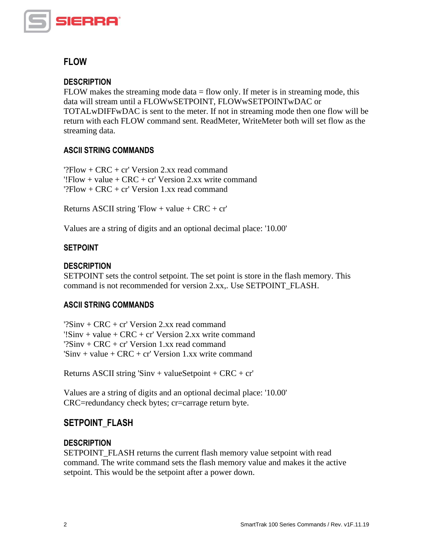

# **FLOW**

# **DESCRIPTION**

FLOW makes the streaming mode data  $=$  flow only. If meter is in streaming mode, this data will stream until a FLOWwSETPOINT, FLOWwSETPOINTwDAC or TOTALwDIFFwDAC is sent to the meter. If not in streaming mode then one flow will be return with each FLOW command sent. ReadMeter, WriteMeter both will set flow as the streaming data.

# **ASCII STRING COMMANDS**

'?Flow +  $CRC$  + cr' Version 2.xx read command  $'$ !Flow + value + CRC + cr' Version 2.xx write command  $?Flow + CRC + cr' Version 1.xx read command$ 

Returns ASCII string  $Flow + value + CRC + cr'$ 

Values are a string of digits and an optional decimal place: '10.00'

# **SETPOINT**

# **DESCRIPTION**

SETPOINT sets the control setpoint. The set point is store in the flash memory. This command is not recommended for version 2.xx,. Use SETPOINT\_FLASH.

# **ASCII STRING COMMANDS**

 $?Sinv + CRC + cr' Version 2$  xx read command '!Sinv + value + CRC + cr' Version 2.xx write command '?Sinv + CRC + cr' Version 1.xx read command 'Sinv + value +  $CRC$  +  $cr'$  Version 1.xx write command

Returns ASCII string 'Sinv + valueSetpoint +  $CRC + cr'$ 

Values are a string of digits and an optional decimal place: '10.00' CRC=redundancy check bytes; cr=carrage return byte.

# **SETPOINT\_FLASH**

# **DESCRIPTION**

SETPOINT FLASH returns the current flash memory value setpoint with read command. The write command sets the flash memory value and makes it the active setpoint. This would be the setpoint after a power down.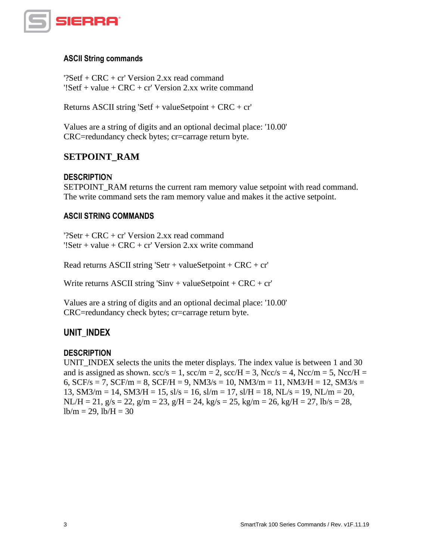

#### **ASCII String commands**

'?Setf + CRC + cr' Version 2.xx read command  $'$ !Setf + value + CRC + cr' Version 2.xx write command

Returns ASCII string 'Setf + valueSetpoint + CRC + cr'

Values are a string of digits and an optional decimal place: '10.00' CRC=redundancy check bytes; cr=carrage return byte.

# **SETPOINT\_RAM**

#### **DESCRIPTION**

SETPOINT\_RAM returns the current ram memory value setpoint with read command. The write command sets the ram memory value and makes it the active setpoint.

#### **ASCII STRING COMMANDS**

'?Setr + CRC + cr' Version 2.xx read command '!Setr + value + CRC + cr' Version 2.xx write command

Read returns ASCII string 'Setr + valueSetpoint +  $CRC + cr'$ 

Write returns ASCII string 'Sinv + valueSetpoint +  $CRC + cr'$ 

Values are a string of digits and an optional decimal place: '10.00' CRC=redundancy check bytes; cr=carrage return byte.

#### **UNIT\_INDEX**

#### **DESCRIPTION**

UNIT INDEX selects the units the meter displays. The index value is between 1 and 30 and is assigned as shown.  $\sec/s = 1$ ,  $\sec/m = 2$ ,  $\sec/H = 3$ ,  $\text{Ncc/s} = 4$ ,  $\text{Ncc/m} = 5$ ,  $\text{Ncc/H} = 5$ 6,  $SCF/s = 7$ ,  $SCF/m = 8$ ,  $SCF/H = 9$ ,  $NM3/s = 10$ ,  $NM3/m = 11$ ,  $NM3/H = 12$ ,  $SM3/s =$ 13, SM3/m = 14, SM3/H = 15, sl/s = 16, sl/m = 17, sl/H = 18, NL/s = 19, NL/m = 20,  $NL/H = 21$ ,  $g/s = 22$ ,  $g/m = 23$ ,  $g/H = 24$ ,  $kg/s = 25$ ,  $kg/m = 26$ ,  $kg/H = 27$ ,  $1b/s = 28$ ,  $lb/m = 29$ ,  $lb/H = 30$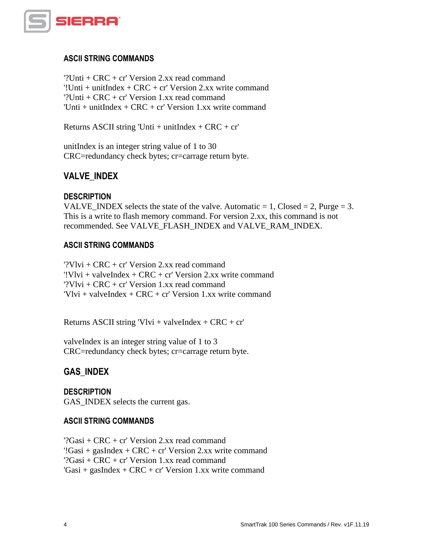

### **ASCII STRING COMMANDS**

'?Unti + CRC + cr' Version 2.xx read command '!Unti + unitIndex + CRC + cr' Version 2.xx write command '?Unti + CRC + cr' Version 1.xx read command 'Unti + unitIndex +  $CRC$  + cr' Version 1.xx write command

Returns ASCII string 'Unti + unitIndex +  $CRC + cr'$ 

unitIndex is an integer string value of 1 to 30 CRC=redundancy check bytes; cr=carrage return byte.

# **VALVE\_INDEX**

### **DESCRIPTION**

VALVE\_INDEX selects the state of the valve. Automatic  $= 1$ , Closed  $= 2$ , Purge  $= 3$ . This is a write to flash memory command. For version 2.xx, this command is not recommended. See VALVE\_FLASH\_INDEX and VALVE\_RAM\_INDEX.

#### **ASCII STRING COMMANDS**

'?Vlvi + CRC + cr' Version 2.xx read command '!Vlvi + valveIndex + CRC + cr' Version 2.xx write command '?Vlvi + CRC + cr' Version 1.xx read command  $Vlvi + valueIndex + CRC + cr' Version 1.xx write command$ 

Returns ASCII string 'Vlvi + valveIndex +  $CRC + cr'$ 

valveIndex is an integer string value of 1 to 3 CRC=redundancy check bytes; cr=carrage return byte.

# **GAS\_INDEX**

#### **DESCRIPTION**

GAS\_INDEX selects the current gas.

#### **ASCII STRING COMMANDS**

'?Gasi + CRC + cr' Version 2.xx read command '!Gasi + gasIndex + CRC + cr' Version 2.xx write command '?Gasi + CRC + cr' Version 1.xx read command 'Gasi + gasIndex +  $CRC$  + cr' Version 1.xx write command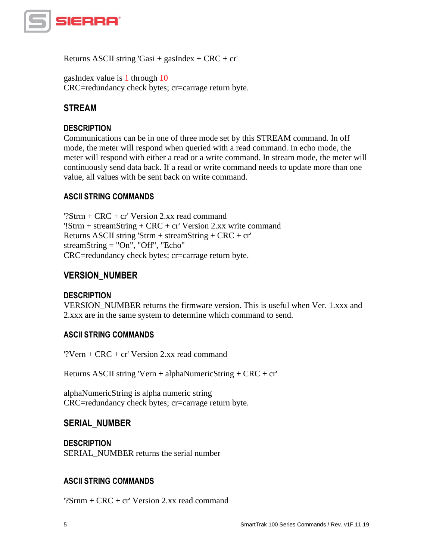

Returns ASCII string 'Gasi + gasIndex + CRC + cr'

gasIndex value is 1 through 10 CRC=redundancy check bytes; cr=carrage return byte.

# **STREAM**

# **DESCRIPTION**

Communications can be in one of three mode set by this STREAM command. In off mode, the meter will respond when queried with a read command. In echo mode, the meter will respond with either a read or a write command. In stream mode, the meter will continuously send data back. If a read or write command needs to update more than one value, all values with be sent back on write command.

# **ASCII STRING COMMANDS**

'?Strm + CRC + cr' Version 2.xx read command '!Strm + streamString + CRC + cr' Version 2.xx write command Returns ASCII string 'Strm + streamString + CRC + cr' streamString = "On", "Off", "Echo" CRC=redundancy check bytes; cr=carrage return byte.

# **VERSION\_NUMBER**

#### **DESCRIPTION**

VERSION\_NUMBER returns the firmware version. This is useful when Ver. 1.xxx and 2.xxx are in the same system to determine which command to send.

# **ASCII STRING COMMANDS**

'?Vern + CRC + cr' Version 2.xx read command

Returns ASCII string 'Vern + alphaNumericString + CRC + cr'

alphaNumericString is alpha numeric string CRC=redundancy check bytes; cr=carrage return byte.

# **SERIAL\_NUMBER**

**DESCRIPTION** SERIAL\_NUMBER returns the serial number

# **ASCII STRING COMMANDS**

' $?Srm + CRC + cr' Version 2$  xx read command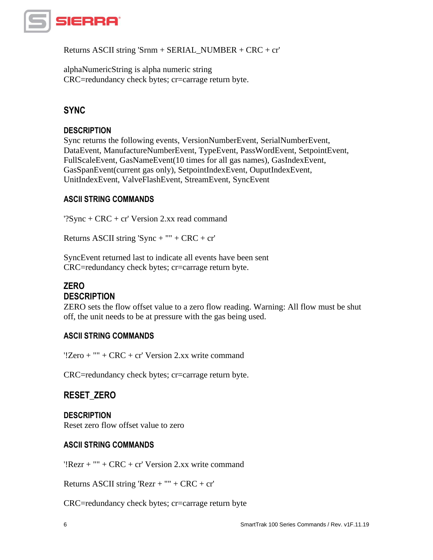

Returns ASCII string 'Srnm + SERIAL\_NUMBER + CRC + cr'

alphaNumericString is alpha numeric string CRC=redundancy check bytes; cr=carrage return byte.

# **SYNC**

# **DESCRIPTION**

Sync returns the following events, VersionNumberEvent, SerialNumberEvent, DataEvent, ManufactureNumberEvent, TypeEvent, PassWordEvent, SetpointEvent, FullScaleEvent, GasNameEvent(10 times for all gas names), GasIndexEvent, GasSpanEvent(current gas only), SetpointIndexEvent, OuputIndexEvent, UnitIndexEvent, ValveFlashEvent, StreamEvent, SyncEvent

# **ASCII STRING COMMANDS**

'?Sync + CRC + cr' Version 2.xx read command

Returns ASCII string 'Sync + "" +  $CRC + cr'$ 

SyncEvent returned last to indicate all events have been sent CRC=redundancy check bytes; cr=carrage return byte.

# **ZERO DESCRIPTION**

ZERO sets the flow offset value to a zero flow reading. Warning: All flow must be shut off, the unit needs to be at pressure with the gas being used.

# **ASCII STRING COMMANDS**

'!Zero + "" + CRC + cr' Version 2.xx write command

CRC=redundancy check bytes; cr=carrage return byte.

# **RESET\_ZERO**

**DESCRIPTION** Reset zero flow offset value to zero

# **ASCII STRING COMMANDS**

'!Rezr + "" + CRC + cr' Version 2.xx write command

Returns ASCII string 'Rezr + "" + CRC + cr'

CRC=redundancy check bytes; cr=carrage return byte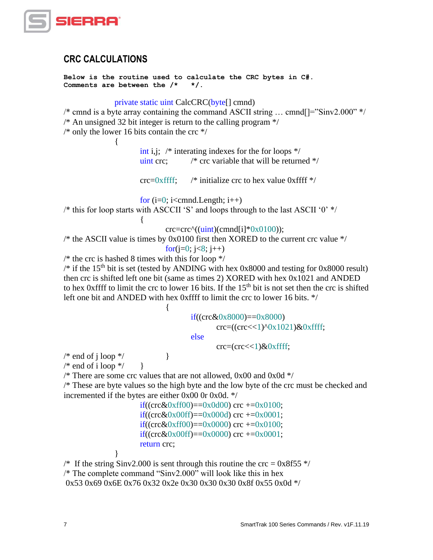

# **CRC CALCULATIONS**

```
Below is the routine used to calculate the CRC bytes in C#.
Comments are between the /* */.
```
#### private static uint CalcCRC(byte[] cmnd)

 $\frac{1}{2}$  cmnd is a byte array containing the command ASCII string ... cmnd  $\left[\frac{1}{2}$  Sinv2.000" \*/  $\frac{1}{2}$  An unsigned 32 bit integer is return to the calling program  $\frac{k}{2}$ 

/\* only the lower 16 bits contain the crc  $*/$ 

{

int i,j;  $\frac{1}{2}$  interating indexes for the for loops  $\frac{1}{2}$ uint crc:  $\frac{1}{2}$  /\* crc variable that will be returned  $\frac{1}{2}$ /

 $\text{circ=0}$ xffff; /\* initialize crc to hex value 0xffff \*/

for  $(i=0; i\lt; c$ mnd.Length;  $i++$ )

/\* this for loop starts with ASCCII 'S' and loops through to the last ASCII '0' \*/

 $\text{crc}=\text{crc} \cdot ((\text{uint})(\text{cmd}[i]*0x0100));$ 

 $\frac{*}{*}$  the ASCII value is times by 0x0100 first then XORED to the current crc value  $*/$ 

for( $j=0$ ;  $j<8$ ;  $j++$ )

 $/*$  the crc is hashed 8 times with this for loop  $*/$ 

{

/\* if the 15<sup>th</sup> bit is set (tested by ANDING with hex 0x8000 and testing for 0x8000 result) then crc is shifted left one bit (same as times 2) XORED with hex 0x1021 and ANDED to hex 0xffff to limit the crc to lower 16 bits. If the  $15<sup>th</sup>$  bit is not set then the crc is shifted left one bit and ANDED with hex 0xffff to limit the crc to lower 16 bits. \*/

> $if((crc&0x8000)=0x8000)$  $\c{c} = ((\c{c}c \ll 1)^6 0x1021) \& 0x$  ffff; else

 $\text{circ} = (\text{circ} \ll 1) \& 0 \times \text{ffff};$ 

/\* end of j loop  $\frac{*}{ }$  } /\* end of i loop  $\frac{*}{ }$ 

}

/\* There are some crc values that are not allowed, 0x00 and 0x0d  $*/$ 

{

/\* These are byte values so the high byte and the low byte of the crc must be checked and incremented if the bytes are either 0x00 0r 0x0d. \*/

> if((crc&0xff00)==0x0d00) crc +=0x0100; if((crc&0x00ff)==0x000d) crc +=0x0001; if((crc&0xff00)==0x0000) crc +=0x0100; if((crc&0x00ff)==0x0000) crc +=0x0001; return crc;

<sup>/\*</sup> If the string Sinv2.000 is sent through this routine the crc =  $0x8f55$  \*/ /\* The complete command "Sinv2.000" will look like this in hex 0x53 0x69 0x6E 0x76 0x32 0x2e 0x30 0x30 0x30 0x8f 0x55 0x0d \*/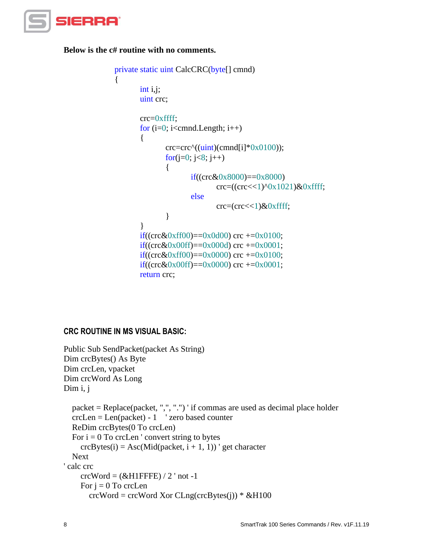

**Below is the c# routine with no comments.**

{

```
private static uint CalcCRC(byte[] cmnd)
        int i,j; 
        uint crc;
        crc=0xffff;
        for (i=0; i<cmnd.Length; i++)
        {
                 \text{crc}=\text{crc} \cdot ((\text{uint})(\text{cmd}[i]*0x0100));for(j=0; j<8; j++)
                 {
                          if((crc&0x8000)==0x8000)
                                  \c{c} = ((\c{c}c \ll 1)^6 0x1021) \& 0x ffff;
                          else
                                  \text{circ} = (\text{circ} \ll 1) \& 0 \times \text{ffff};}
        }
        if((crc&0xff00)==0x0d00) crc +=0x0100;
        if((crc&0x00ff)==0x000d) crc +=0x0001;
        if((crc&0xff00)==0x0000) crc +=0x0100;
        if((crc&0x00ff)==0x0000) crc +=0x0001;
        return crc;
```
# **CRC ROUTINE IN MS VISUAL BASIC:**

```
Public Sub SendPacket(packet As String)
Dim crcBytes() As Byte
Dim crcLen, vpacket
Dim crcWord As Long
Dim i, j
   packet = Replace(packet, ",", ".") ' if commas are used as decimal place holder
   crcLen = Len(packet) - 1 ' zero based counter
   ReDim crcBytes(0 To crcLen)
  For i = 0 To crcLen ' convert string to bytes
    crcBytes(i) =Asc(Mid(packet, i + 1, 1)) ' get character
   Next
' calc crc
    crcWord = (&H1FFFE) / 2' not -1For j = 0 To crcLen
       crcWord = crcWord Xor CLng(crcBytes(i)) * & H100
```